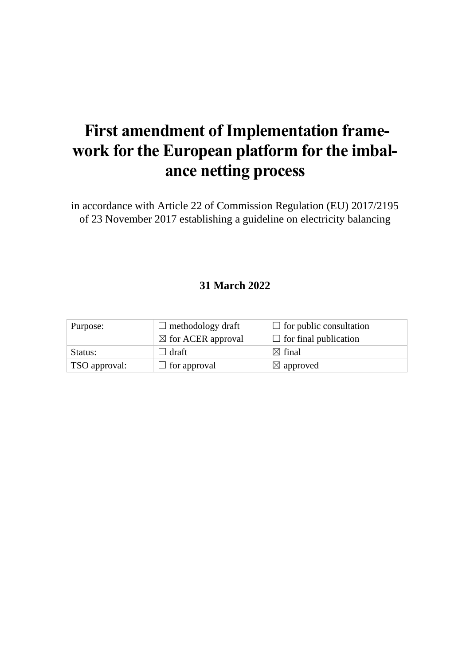# **First amendment of Implementation framework for the European platform for the imbalance netting process**

in accordance with Article 22 of Commission Regulation (EU) 2017/2195 of 23 November 2017 establishing a guideline on electricity balancing

# **31 March 2022**

| Purpose:      | $\Box$ methodology draft      | $\Box$ for public consultation |
|---------------|-------------------------------|--------------------------------|
|               | $\boxtimes$ for ACER approval | $\Box$ for final publication   |
| Status:       | ⊥ draft                       | $\boxtimes$ final              |
| TSO approval: | $\Box$ for approval           | $\boxtimes$ approved           |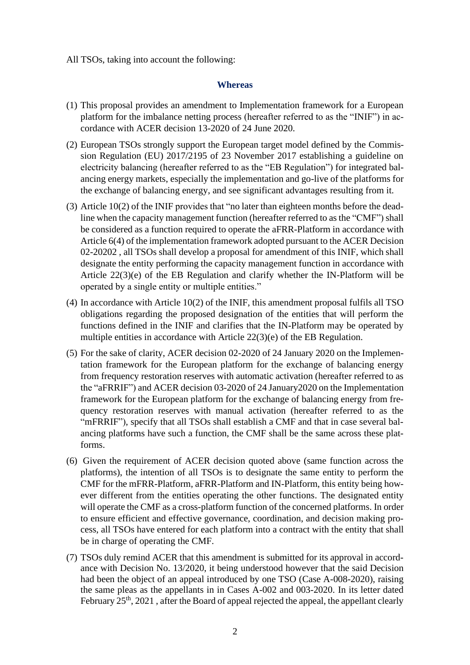All TSOs, taking into account the following:

#### **Whereas**

- (1) This proposal provides an amendment to Implementation framework for a European platform for the imbalance netting process (hereafter referred to as the "INIF") in accordance with ACER decision 13-2020 of 24 June 2020.
- (2) European TSOs strongly support the European target model defined by the Commission Regulation (EU) 2017/2195 of 23 November 2017 establishing a guideline on electricity balancing (hereafter referred to as the "EB Regulation") for integrated balancing energy markets, especially the implementation and go-live of the platforms for the exchange of balancing energy, and see significant advantages resulting from it.
- (3) Article 10(2) of the INIF provides that "no later than eighteen months before the deadline when the capacity management function (hereafter referred to as the "CMF") shall be considered as a function required to operate the aFRR-Platform in accordance with Article 6(4) of the implementation framework adopted pursuant to the ACER Decision 02-20202 , all TSOs shall develop a proposal for amendment of this INIF, which shall designate the entity performing the capacity management function in accordance with Article 22(3)(e) of the EB Regulation and clarify whether the IN-Platform will be operated by a single entity or multiple entities."
- (4) In accordance with Article 10(2) of the INIF, this amendment proposal fulfils all TSO obligations regarding the proposed designation of the entities that will perform the functions defined in the INIF and clarifies that the IN-Platform may be operated by multiple entities in accordance with Article 22(3)(e) of the EB Regulation.
- (5) For the sake of clarity, ACER decision 02-2020 of 24 January 2020 on the Implementation framework for the European platform for the exchange of balancing energy from frequency restoration reserves with automatic activation (hereafter referred to as the "aFRRIF") and ACER decision 03-2020 of 24 January2020 on the Implementation framework for the European platform for the exchange of balancing energy from frequency restoration reserves with manual activation (hereafter referred to as the "mFRRIF"), specify that all TSOs shall establish a CMF and that in case several balancing platforms have such a function, the CMF shall be the same across these platforms.
- (6) Given the requirement of ACER decision quoted above (same function across the platforms), the intention of all TSOs is to designate the same entity to perform the CMF for the mFRR-Platform, aFRR-Platform and IN-Platform, this entity being however different from the entities operating the other functions. The designated entity will operate the CMF as a cross-platform function of the concerned platforms. In order to ensure efficient and effective governance, coordination, and decision making process, all TSOs have entered for each platform into a contract with the entity that shall be in charge of operating the CMF.
- (7) TSOs duly remind ACER that this amendment is submitted for its approval in accordance with Decision No. 13/2020, it being understood however that the said Decision had been the object of an appeal introduced by one TSO (Case A-008-2020), raising the same pleas as the appellants in in Cases A-002 and 003-2020. In its letter dated February  $25<sup>th</sup>$ ,  $2021$ , after the Board of appeal rejected the appeal, the appellant clearly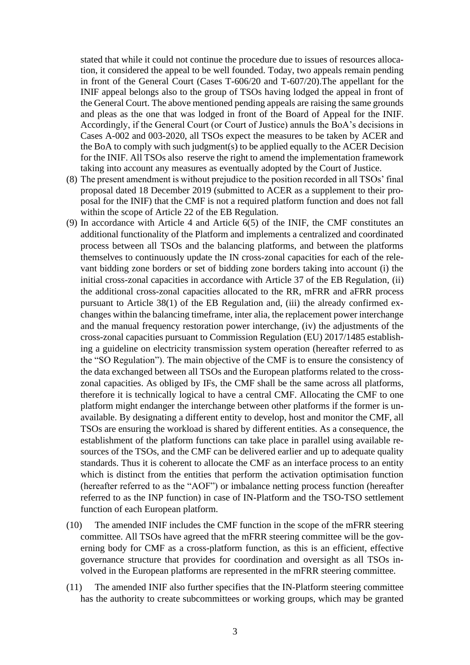stated that while it could not continue the procedure due to issues of resources allocation, it considered the appeal to be well founded. Today, two appeals remain pending in front of the General Court (Cases T-606/20 and T-607/20).The appellant for the INIF appeal belongs also to the group of TSOs having lodged the appeal in front of the General Court. The above mentioned pending appeals are raising the same grounds and pleas as the one that was lodged in front of the Board of Appeal for the INIF. Accordingly, if the General Court (or Court of Justice) annuls the BoA's decisions in Cases A-002 and 003-2020, all TSOs expect the measures to be taken by ACER and the BoA to comply with such judgment(s) to be applied equally to the ACER Decision for the INIF. All TSOs also reserve the right to amend the implementation framework taking into account any measures as eventually adopted by the Court of Justice.

- (8) The present amendment is without prejudice to the position recorded in all TSOs' final proposal dated 18 December 2019 (submitted to ACER as a supplement to their proposal for the INIF) that the CMF is not a required platform function and does not fall within the scope of Article 22 of the EB Regulation.
- (9) In accordance with Article 4 and Article 6(5) of the INIF, the CMF constitutes an additional functionality of the Platform and implements a centralized and coordinated process between all TSOs and the balancing platforms, and between the platforms themselves to continuously update the IN cross-zonal capacities for each of the relevant bidding zone borders or set of bidding zone borders taking into account (i) the initial cross-zonal capacities in accordance with Article 37 of the EB Regulation, (ii) the additional cross-zonal capacities allocated to the RR, mFRR and aFRR process pursuant to Article 38(1) of the EB Regulation and, (iii) the already confirmed exchanges within the balancing timeframe, inter alia, the replacement power interchange and the manual frequency restoration power interchange, (iv) the adjustments of the cross-zonal capacities pursuant to Commission Regulation (EU) 2017/1485 establishing a guideline on electricity transmission system operation (hereafter referred to as the "SO Regulation"). The main objective of the CMF is to ensure the consistency of the data exchanged between all TSOs and the European platforms related to the crosszonal capacities. As obliged by IFs, the CMF shall be the same across all platforms, therefore it is technically logical to have a central CMF. Allocating the CMF to one platform might endanger the interchange between other platforms if the former is unavailable. By designating a different entity to develop, host and monitor the CMF, all TSOs are ensuring the workload is shared by different entities. As a consequence, the establishment of the platform functions can take place in parallel using available resources of the TSOs, and the CMF can be delivered earlier and up to adequate quality standards. Thus it is coherent to allocate the CMF as an interface process to an entity which is distinct from the entities that perform the activation optimisation function (hereafter referred to as the "AOF") or imbalance netting process function (hereafter referred to as the INP function) in case of IN-Platform and the TSO-TSO settlement function of each European platform.
- (10) The amended INIF includes the CMF function in the scope of the mFRR steering committee. All TSOs have agreed that the mFRR steering committee will be the governing body for CMF as a cross-platform function, as this is an efficient, effective governance structure that provides for coordination and oversight as all TSOs involved in the European platforms are represented in the mFRR steering committee.
- (11) The amended INIF also further specifies that the IN-Platform steering committee has the authority to create subcommittees or working groups, which may be granted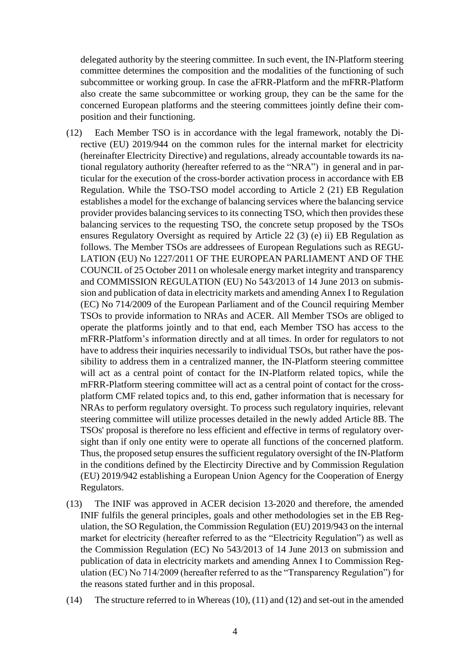delegated authority by the steering committee. In such event, the IN-Platform steering committee determines the composition and the modalities of the functioning of such subcommittee or working group. In case the aFRR-Platform and the mFRR-Platform also create the same subcommittee or working group, they can be the same for the concerned European platforms and the steering committees jointly define their composition and their functioning.

- (12) Each Member TSO is in accordance with the legal framework, notably the Directive (EU) 2019/944 on the common rules for the internal market for electricity (hereinafter Electricity Directive) and regulations, already accountable towards its national regulatory authority (hereafter referred to as the "NRA") in general and in particular for the execution of the cross-border activation process in accordance with EB Regulation. While the TSO-TSO model according to Article 2 (21) EB Regulation establishes a model for the exchange of balancing services where the balancing service provider provides balancing services to its connecting TSO, which then provides these balancing services to the requesting TSO, the concrete setup proposed by the TSOs ensures Regulatory Oversight as required by Article 22 (3) (e) ii) EB Regulation as follows. The Member TSOs are addressees of European Regulations such as REGU-LATION (EU) No 1227/2011 OF THE EUROPEAN PARLIAMENT AND OF THE COUNCIL of 25 October 2011 on wholesale energy market integrity and transparency and COMMISSION REGULATION (EU) No 543/2013 of 14 June 2013 on submission and publication of data in electricity markets and amending Annex I to Regulation (EC) No 714/2009 of the European Parliament and of the Council requiring Member TSOs to provide information to NRAs and ACER. All Member TSOs are obliged to operate the platforms jointly and to that end, each Member TSO has access to the mFRR-Platform's information directly and at all times. In order for regulators to not have to address their inquiries necessarily to individual TSOs, but rather have the possibility to address them in a centralized manner, the IN-Platform steering committee will act as a central point of contact for the IN-Platform related topics, while the mFRR-Platform steering committee will act as a central point of contact for the crossplatform CMF related topics and, to this end, gather information that is necessary for NRAs to perform regulatory oversight. To process such regulatory inquiries, relevant steering committee will utilize processes detailed in the newly added Article 8B. The TSOs' proposal is therefore no less efficient and effective in terms of regulatory oversight than if only one entity were to operate all functions of the concerned platform. Thus, the proposed setup ensures the sufficient regulatory oversight of the IN-Platform in the conditions defined by the Electircity Directive and by Commission Regulation (EU) 2019/942 establishing a European Union Agency for the Cooperation of Energy Regulators.
- (13) The INIF was approved in ACER decision 13-2020 and therefore, the amended INIF fulfils the general principles, goals and other methodologies set in the EB Regulation, the SO Regulation, the Commission Regulation (EU) 2019/943 on the internal market for electricity (hereafter referred to as the "Electricity Regulation") as well as the Commission Regulation (EC) No 543/2013 of 14 June 2013 on submission and publication of data in electricity markets and amending Annex I to Commission Regulation (EC) No 714/2009 (hereafter referred to as the "Transparency Regulation") for the reasons stated further and in this proposal.
- (14) The structure referred to in Whereas (10), (11) and (12) and set-out in the amended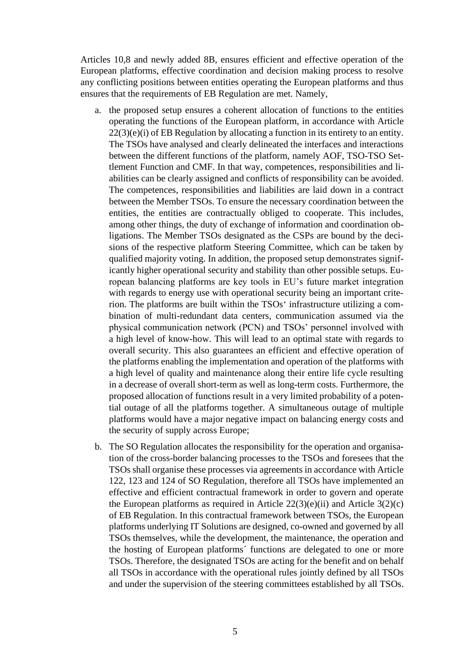Articles 10,8 and newly added 8B, ensures efficient and effective operation of the European platforms, effective coordination and decision making process to resolve any conflicting positions between entities operating the European platforms and thus ensures that the requirements of EB Regulation are met. Namely,

- a. the proposed setup ensures a coherent allocation of functions to the entities operating the functions of the European platform, in accordance with Article 22(3)(e)(i) of EB Regulation by allocating a function in its entirety to an entity. The TSOs have analysed and clearly delineated the interfaces and interactions between the different functions of the platform, namely AOF, TSO-TSO Settlement Function and CMF. In that way, competences, responsibilities and liabilities can be clearly assigned and conflicts of responsibility can be avoided. The competences, responsibilities and liabilities are laid down in a contract between the Member TSOs. To ensure the necessary coordination between the entities, the entities are contractually obliged to cooperate. This includes, among other things, the duty of exchange of information and coordination obligations. The Member TSOs designated as the CSPs are bound by the decisions of the respective platform Steering Committee, which can be taken by qualified majority voting. In addition, the proposed setup demonstrates significantly higher operational security and stability than other possible setups. European balancing platforms are key tools in EU's future market integration with regards to energy use with operational security being an important criterion. The platforms are built within the TSOs' infrastructure utilizing a combination of multi-redundant data centers, communication assumed via the physical communication network (PCN) and TSOs' personnel involved with a high level of know-how. This will lead to an optimal state with regards to overall security. This also guarantees an efficient and effective operation of the platforms enabling the implementation and operation of the platforms with a high level of quality and maintenance along their entire life cycle resulting in a decrease of overall short-term as well as long-term costs. Furthermore, the proposed allocation of functions result in a very limited probability of a potential outage of all the platforms together. A simultaneous outage of multiple platforms would have a major negative impact on balancing energy costs and the security of supply across Europe;
- b. The SO Regulation allocates the responsibility for the operation and organisation of the cross-border balancing processes to the TSOs and foresees that the TSOs shall organise these processes via agreements in accordance with Article 122, 123 and 124 of SO Regulation, therefore all TSOs have implemented an effective and efficient contractual framework in order to govern and operate the European platforms as required in Article  $22(3)(e)(ii)$  and Article  $3(2)(c)$ of EB Regulation. In this contractual framework between TSOs, the European platforms underlying IT Solutions are designed, co-owned and governed by all TSOs themselves, while the development, the maintenance, the operation and the hosting of European platforms´ functions are delegated to one or more TSOs. Therefore, the designated TSOs are acting for the benefit and on behalf all TSOs in accordance with the operational rules jointly defined by all TSOs and under the supervision of the steering committees established by all TSOs.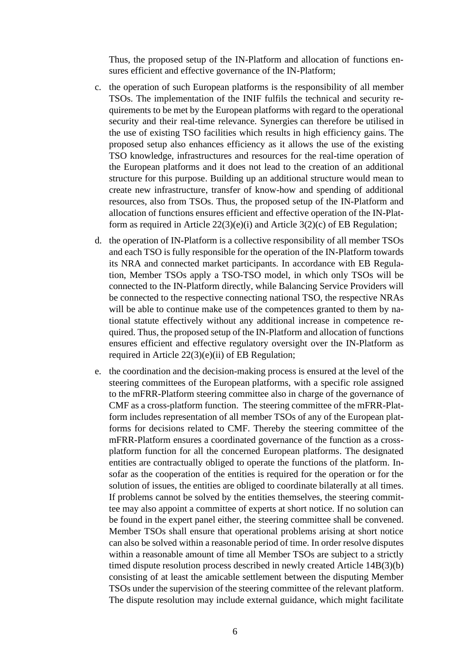Thus, the proposed setup of the IN-Platform and allocation of functions ensures efficient and effective governance of the IN-Platform;

- c. the operation of such European platforms is the responsibility of all member TSOs. The implementation of the INIF fulfils the technical and security requirements to be met by the European platforms with regard to the operational security and their real-time relevance. Synergies can therefore be utilised in the use of existing TSO facilities which results in high efficiency gains. The proposed setup also enhances efficiency as it allows the use of the existing TSO knowledge, infrastructures and resources for the real-time operation of the European platforms and it does not lead to the creation of an additional structure for this purpose. Building up an additional structure would mean to create new infrastructure, transfer of know-how and spending of additional resources, also from TSOs. Thus, the proposed setup of the IN-Platform and allocation of functions ensures efficient and effective operation of the IN-Platform as required in Article  $22(3)(e)(i)$  and Article  $3(2)(c)$  of EB Regulation;
- d. the operation of IN-Platform is a collective responsibility of all member TSOs and each TSO is fully responsible for the operation of the IN-Platform towards its NRA and connected market participants. In accordance with EB Regulation, Member TSOs apply a TSO-TSO model, in which only TSOs will be connected to the IN-Platform directly, while Balancing Service Providers will be connected to the respective connecting national TSO, the respective NRAs will be able to continue make use of the competences granted to them by national statute effectively without any additional increase in competence required. Thus, the proposed setup of the IN-Platform and allocation of functions ensures efficient and effective regulatory oversight over the IN-Platform as required in Article 22(3)(e)(ii) of EB Regulation;
- e. the coordination and the decision-making process is ensured at the level of the steering committees of the European platforms, with a specific role assigned to the mFRR-Platform steering committee also in charge of the governance of CMF as a cross-platform function. The steering committee of the mFRR-Platform includes representation of all member TSOs of any of the European platforms for decisions related to CMF. Thereby the steering committee of the mFRR-Platform ensures a coordinated governance of the function as a crossplatform function for all the concerned European platforms. The designated entities are contractually obliged to operate the functions of the platform. Insofar as the cooperation of the entities is required for the operation or for the solution of issues, the entities are obliged to coordinate bilaterally at all times. If problems cannot be solved by the entities themselves, the steering committee may also appoint a committee of experts at short notice. If no solution can be found in the expert panel either, the steering committee shall be convened. Member TSOs shall ensure that operational problems arising at short notice can also be solved within a reasonable period of time. In order resolve disputes within a reasonable amount of time all Member TSOs are subject to a strictly timed dispute resolution process described in newly created Article 14B(3)(b) consisting of at least the amicable settlement between the disputing Member TSOs under the supervision of the steering committee of the relevant platform. The dispute resolution may include external guidance, which might facilitate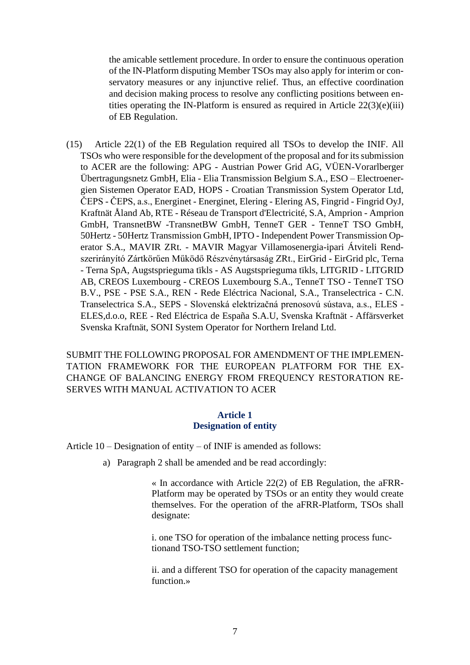the amicable settlement procedure. In order to ensure the continuous operation of the IN-Platform disputing Member TSOs may also apply for interim or conservatory measures or any injunctive relief. Thus, an effective coordination and decision making process to resolve any conflicting positions between entities operating the IN-Platform is ensured as required in Article  $22(3)(e)(iii)$ of EB Regulation.

(15) Article 22(1) of the EB Regulation required all TSOs to develop the INIF. All TSOs who were responsible for the development of the proposal and for its submission to ACER are the following: APG - Austrian Power Grid AG, VÜEN-Vorarlberger Übertragungsnetz GmbH, Elia - Elia Transmission Belgium S.A., ESO – Electroenergien Sistemen Operator EAD, HOPS - Croatian Transmission System Operator Ltd, ČEPS - ČEPS, a.s., Energinet - Energinet, Elering - Elering AS, Fingrid - Fingrid OyJ, Kraftnät Åland Ab, RTE - Réseau de Transport d'Electricité, S.A, Amprion - Amprion GmbH, TransnetBW -TransnetBW GmbH, TenneT GER - TenneT TSO GmbH, 50Hertz - 50Hertz Transmission GmbH, IPTO - Independent Power Transmission Operator S.A., MAVIR ZRt. - MAVIR Magyar Villamosenergia-ipari Átviteli Rendszerirányító Zártkörűen Működő Részvénytársaság ZRt., EirGrid - EirGrid plc, Terna - Terna SpA, Augstsprieguma tïkls - AS Augstsprieguma tïkls, LITGRID - LITGRID AB, CREOS Luxembourg - CREOS Luxembourg S.A., TenneT TSO - TenneT TSO B.V., PSE - PSE S.A., REN - Rede Eléctrica Nacional, S.A., Transelectrica - C.N. Transelectrica S.A., SEPS - Slovenská elektrizačná prenosovú sústava, a.s., ELES - ELES,d.o.o, REE - Red Eléctrica de España S.A.U, Svenska Kraftnät - Affärsverket Svenska Kraftnät, SONI System Operator for Northern Ireland Ltd.

SUBMIT THE FOLLOWING PROPOSAL FOR AMENDMENT OF THE IMPLEMEN-TATION FRAMEWORK FOR THE EUROPEAN PLATFORM FOR THE EX-CHANGE OF BALANCING ENERGY FROM FREQUENCY RESTORATION RE-SERVES WITH MANUAL ACTIVATION TO ACER

#### **Article 1 Designation of entity**

Article 10 – Designation of entity – of INIF is amended as follows:

a) Paragraph 2 shall be amended and be read accordingly:

« In accordance with Article 22(2) of EB Regulation, the aFRR-Platform may be operated by TSOs or an entity they would create themselves. For the operation of the aFRR-Platform, TSOs shall designate:

i. one TSO for operation of the imbalance netting process functionand TSO-TSO settlement function;

ii. and a different TSO for operation of the capacity management function.»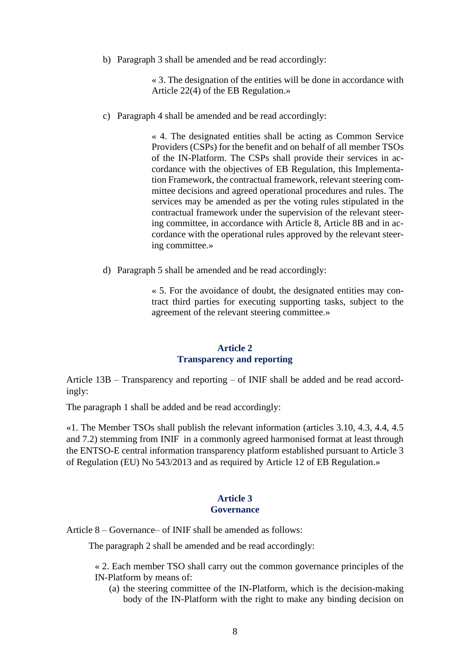b) Paragraph 3 shall be amended and be read accordingly:

« 3. The designation of the entities will be done in accordance with Article 22(4) of the EB Regulation.»

c) Paragraph 4 shall be amended and be read accordingly:

« 4. The designated entities shall be acting as Common Service Providers (CSPs) for the benefit and on behalf of all member TSOs of the IN-Platform. The CSPs shall provide their services in accordance with the objectives of EB Regulation, this Implementation Framework, the contractual framework, relevant steering committee decisions and agreed operational procedures and rules. The services may be amended as per the voting rules stipulated in the contractual framework under the supervision of the relevant steering committee, in accordance with Article 8, Article 8B and in accordance with the operational rules approved by the relevant steering committee.»

d) Paragraph 5 shall be amended and be read accordingly:

« 5. For the avoidance of doubt, the designated entities may contract third parties for executing supporting tasks, subject to the agreement of the relevant steering committee.»

#### **Article 2 Transparency and reporting**

Article 13B – Transparency and reporting – of INIF shall be added and be read accordingly:

The paragraph 1 shall be added and be read accordingly:

«1. The Member TSOs shall publish the relevant information (articles 3.10, 4.3, 4.4, 4.5 and 7.2) stemming from INIF in a commonly agreed harmonised format at least through the ENTSO-E central information transparency platform established pursuant to Article 3 of Regulation (EU) No 543/2013 and as required by Article 12 of EB Regulation.»

#### **Article 3 Governance**

Article 8 – Governance– of INIF shall be amended as follows:

The paragraph 2 shall be amended and be read accordingly:

« 2. Each member TSO shall carry out the common governance principles of the IN-Platform by means of:

(a) the steering committee of the IN-Platform, which is the decision-making body of the IN-Platform with the right to make any binding decision on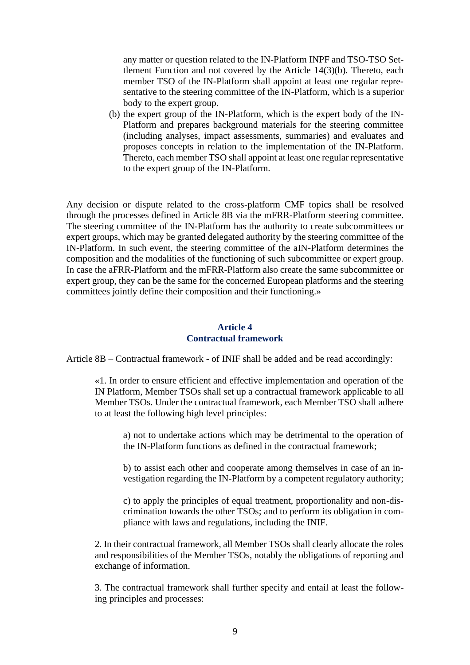any matter or question related to the IN-Platform INPF and TSO-TSO Settlement Function and not covered by the Article 14(3)(b). Thereto, each member TSO of the IN-Platform shall appoint at least one regular representative to the steering committee of the IN-Platform, which is a superior body to the expert group.

(b) the expert group of the IN-Platform, which is the expert body of the IN-Platform and prepares background materials for the steering committee (including analyses, impact assessments, summaries) and evaluates and proposes concepts in relation to the implementation of the IN-Platform. Thereto, each member TSO shall appoint at least one regular representative to the expert group of the IN-Platform.

Any decision or dispute related to the cross-platform CMF topics shall be resolved through the processes defined in Article 8B via the mFRR-Platform steering committee. The steering committee of the IN-Platform has the authority to create subcommittees or expert groups, which may be granted delegated authority by the steering committee of the IN-Platform. In such event, the steering committee of the aIN-Platform determines the composition and the modalities of the functioning of such subcommittee or expert group. In case the aFRR-Platform and the mFRR-Platform also create the same subcommittee or expert group, they can be the same for the concerned European platforms and the steering committees jointly define their composition and their functioning.»

# **Article 4 Contractual framework**

Article 8B – Contractual framework - of INIF shall be added and be read accordingly:

«1. In order to ensure efficient and effective implementation and operation of the IN Platform, Member TSOs shall set up a contractual framework applicable to all Member TSOs. Under the contractual framework, each Member TSO shall adhere to at least the following high level principles:

a) not to undertake actions which may be detrimental to the operation of the IN-Platform functions as defined in the contractual framework;

b) to assist each other and cooperate among themselves in case of an investigation regarding the IN-Platform by a competent regulatory authority;

c) to apply the principles of equal treatment, proportionality and non-discrimination towards the other TSOs; and to perform its obligation in compliance with laws and regulations, including the INIF.

2. In their contractual framework, all Member TSOs shall clearly allocate the roles and responsibilities of the Member TSOs, notably the obligations of reporting and exchange of information.

3. The contractual framework shall further specify and entail at least the following principles and processes: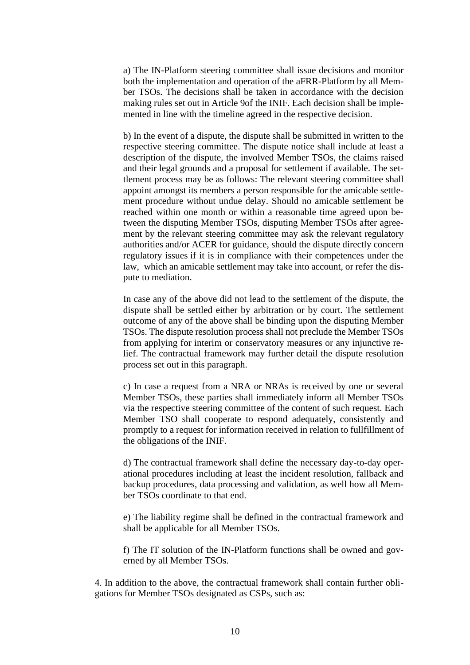a) The IN-Platform steering committee shall issue decisions and monitor both the implementation and operation of the aFRR-Platform by all Member TSOs. The decisions shall be taken in accordance with the decision making rules set out in Article 9of the INIF. Each decision shall be implemented in line with the timeline agreed in the respective decision.

b) In the event of a dispute, the dispute shall be submitted in written to the respective steering committee. The dispute notice shall include at least a description of the dispute, the involved Member TSOs, the claims raised and their legal grounds and a proposal for settlement if available. The settlement process may be as follows: The relevant steering committee shall appoint amongst its members a person responsible for the amicable settlement procedure without undue delay. Should no amicable settlement be reached within one month or within a reasonable time agreed upon between the disputing Member TSOs, disputing Member TSOs after agreement by the relevant steering committee may ask the relevant regulatory authorities and/or ACER for guidance, should the dispute directly concern regulatory issues if it is in compliance with their competences under the law, which an amicable settlement may take into account, or refer the dispute to mediation.

In case any of the above did not lead to the settlement of the dispute, the dispute shall be settled either by arbitration or by court. The settlement outcome of any of the above shall be binding upon the disputing Member TSOs. The dispute resolution process shall not preclude the Member TSOs from applying for interim or conservatory measures or any injunctive relief. The contractual framework may further detail the dispute resolution process set out in this paragraph.

c) In case a request from a NRA or NRAs is received by one or several Member TSOs, these parties shall immediately inform all Member TSOs via the respective steering committee of the content of such request. Each Member TSO shall cooperate to respond adequately, consistently and promptly to a request for information received in relation to fullfillment of the obligations of the INIF.

d) The contractual framework shall define the necessary day-to-day operational procedures including at least the incident resolution, fallback and backup procedures, data processing and validation, as well how all Member TSOs coordinate to that end.

e) The liability regime shall be defined in the contractual framework and shall be applicable for all Member TSOs.

f) The IT solution of the IN-Platform functions shall be owned and governed by all Member TSOs.

4. In addition to the above, the contractual framework shall contain further obligations for Member TSOs designated as CSPs, such as: